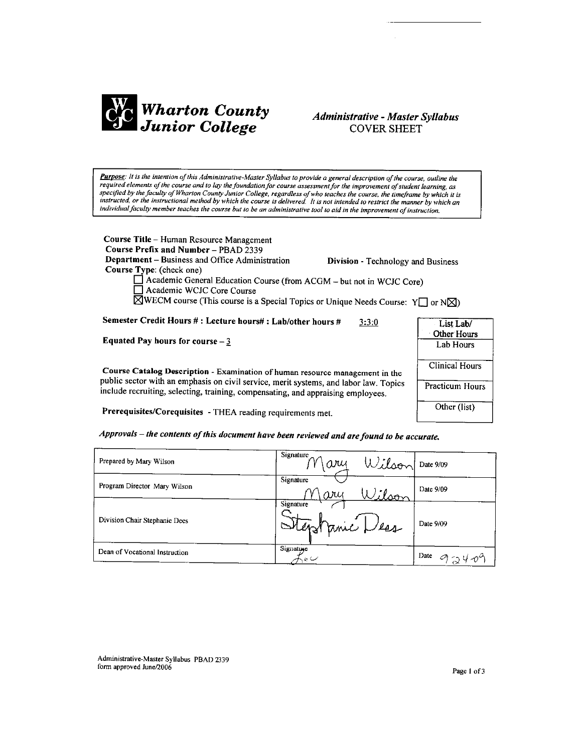

# **Administrative - Master Syllabus COVER SHEET**

Purpose: It is the intention of this Administrative-Master Syllabus to provide a general description of the course, outline the required elements of the course and to lay the foundation for course assessment for the improvement of student learning, as specified by the faculty of Wharton County Junior College, regardless of who teaches the course, the timeframe by which it is instructed, or the instructional method by which the course is delivered. It is not intended to restrict the manner by which an individual faculty member teaches the course but to be an administrative tool to aid in the improvement of instruction.

Course Title - Human Resource Management Course Prefix and Number - PBAD 2339 Department - Business and Office Administration Course Type: (check one)

Division - Technology and Business

List Lab/ Other Hours

Lab Hours

Clinical Hours

Practicum Hours

Other (list)

□ Academic General Education Course (from ACGM – but not in WCJC Core)<br>□ Academic WCJC Core Course  $\overline{\boxtimes}$ WECM course (This course is a Special Topics or Unique Needs Course: Y $\Box$  or N $\boxtimes$ )

Semester Credit Hours #: Lecture hours#: Lab/other hours #  $3:3:0$ 

Equated Pay hours for course  $-3$ 

Course Catalog Description - Examination of human resource management in the public sector with an emphasis on civil service, merit systems, and labor law. Topics include recruiting, selecting, training, compensating, and appraising employees.

Prerequisites/Corequisites - THEA reading requirements met.

Approvals – the contents of this document have been reviewed and are found to be accurate.

| Prepared by Mary Wilson        | Signature<br>Wilson<br>ary  | Date 9/09 |
|--------------------------------|-----------------------------|-----------|
| Program Director Mary Wilson   | Signature<br>1. Pson<br>ary | Date 9/09 |
| Division Chair Stephanie Dees  | Signature<br>Stephanic Les  | Date 9/09 |
| Dean of Vocational Instruction | Signature<br>ب ن            | Date      |

Administrative-Master Syllabus PBAD 2339 form approved June/2006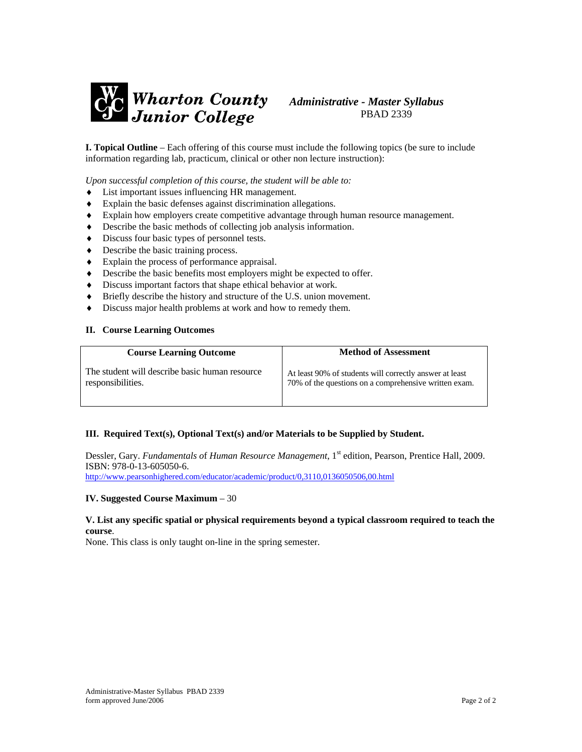

**I. Topical Outline** – Each offering of this course must include the following topics (be sure to include information regarding lab, practicum, clinical or other non lecture instruction):

*Upon successful completion of this course, the student will be able to:* 

- ♦ List important issues influencing HR management.
- ♦ Explain the basic defenses against discrimination allegations.
- ♦ Explain how employers create competitive advantage through human resource management.
- ♦ Describe the basic methods of collecting job analysis information.
- ♦ Discuss four basic types of personnel tests.
- ♦ Describe the basic training process.
- ♦ Explain the process of performance appraisal.
- ♦ Describe the basic benefits most employers might be expected to offer.
- ♦ Discuss important factors that shape ethical behavior at work.
- ♦ Briefly describe the history and structure of the U.S. union movement.
- Discuss major health problems at work and how to remedy them.

#### **II. Course Learning Outcomes**

| <b>Course Learning Outcome</b>                 | <b>Method of Assessment</b>                             |
|------------------------------------------------|---------------------------------------------------------|
| The student will describe basic human resource | At least 90% of students will correctly answer at least |
| responsibilities.                              | 70% of the questions on a comprehensive written exam.   |

### **III. Required Text(s), Optional Text(s) and/or Materials to be Supplied by Student.**

Dessler, Gary. *Fundamentals o*f *Human Resource Management*, 1st edition, Pearson, Prentice Hall, 2009. ISBN: 978-0-13-605050-6.

<http://www.pearsonhighered.com/educator/academic/product/0,3110,0136050506,00.html>

#### **IV. Suggested Course Maximum** – 30

### **V. List any specific spatial or physical requirements beyond a typical classroom required to teach the course**.

None. This class is only taught on-line in the spring semester.